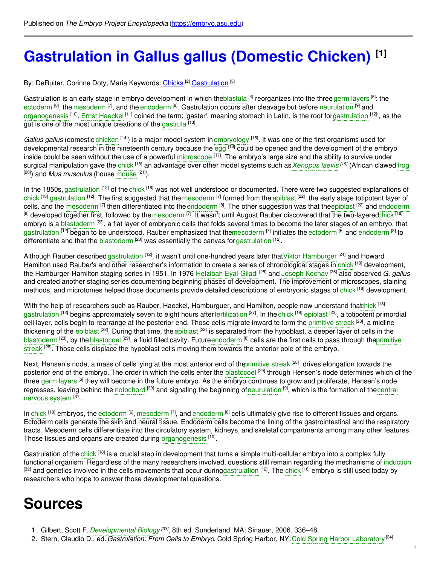# **[Gastrulation](https://embryo.asu.edu/pages/gastrulation-gallus-gallus-domestic-chicken) in Gallus gallus (Domestic Chicken) [1]**

By: DeRuiter, Corinne Doty, Maria Keywords: [Chicks](https://embryo.asu.edu/keywords/chicks) [2] [Gastrulation](https://embryo.asu.edu/keywords/gastrulation) [3]

Gastrulation is an early stage in embryo development in which th[eblastula](https://embryo.asu.edu/search?text=blastula) <sup>[4]</sup> reorganizes into the three germ [layers](https://embryo.asu.edu/search?text=germ%20layers) <sup>[5]</sup>: the [ectoderm](https://embryo.asu.edu/search?text=ectoderm) <sup>[6]</sup>, the [mesoderm](https://embryo.asu.edu/search?text=mesoderm) <sup>[7]</sup>, and the [endoderm](https://embryo.asu.edu/search?text=endoderm) <sup>[8]</sup>. Gastrulation occurs after cleavage but before [neurulation](https://embryo.asu.edu/search?text=neurulation) <sup>[9]</sup> and [organogenesis](https://embryo.asu.edu/search?text=organogenesis) <sup>[10]</sup>. Ernst [Haeckel](https://embryo.asu.edu/search?text=Ernst%20Haeckel) <sup>[11]</sup> coined the term; 'gaster', meaning stomach in Latin, is the root forg[astrulation](https://embryo.asu.edu/search?text=gastrulation) <sup>[12]</sup>', as the gut is one of the most unique creations of the [gastrula](https://embryo.asu.edu/search?text=gastrula) [13].

*Gallus gallus* (domestic [chicken](https://embryo.asu.edu/search?text=chicken) <sup>[14]</sup>) is a major model system in[embryology](https://embryo.asu.edu/search?text=embryology) <sup>[15]</sup>. It was one of the first organisms used for developmental research in the nineteenth century because the [egg](https://embryo.asu.edu/search?text=egg) <sup>[16]</sup> could be opened and the development of the embryo inside could be seen without the use of a powerful [microscope](https://embryo.asu.edu/search?text=microscope) <sup>[17]</sup>. The embryo's large size and the ability to survive under surgical manipulation gave the [chick](https://embryo.asu.edu/search?text=chick) <sup>[18]</sup> an advantage over other model systems such as *[Xenopus](https://embryo.asu.edu/search?text=Xenopus%20laevis) laevis <sup>[19]</sup>* (African clawed [frog](https://embryo.asu.edu/search?text=frog) [20]) and *Mus musculus* (house [mouse](https://embryo.asu.edu/search?text=mouse) [21]).

In the 1850s, [gastrulation](https://embryo.asu.edu/search?text=gastrulation) <sup>[12]</sup> of the [chick](https://embryo.asu.edu/search?text=chick) <sup>[18]</sup> was not well understood or documented. There were two suggested explanations of [chick](https://embryo.asu.edu/search?text=chick) <sup>[18]</sup> [gastrulation](https://embryo.asu.edu/search?text=gastrulation) <sup>[12]</sup>. The first suggested that the [mesoderm](https://embryo.asu.edu/search?text=mesoderm) <sup>[7]</sup> formed from the [epiblast](https://embryo.asu.edu/search?text=epiblast) <sup>[22]</sup>, the early stage totipotent layer of cells, and the [mesoderm](https://embryo.asu.edu/search?text=mesoderm) <sup>[7]</sup> then differentiated into the [endoderm](https://embryo.asu.edu/search?text=endoderm) <sup>[8]</sup>. The other suggestion was that the[epiblast](https://embryo.asu.edu/search?text=epiblast) <sup>[22]</sup> and endoderm  $^{\lbrack 8]}$  developed together first, followed by the $\sf{mesoderm}$  $\sf{mesoderm}$  $\sf{mesoderm}$  <sup>[7]</sup>. It wasn't until August Rauber discovered that the two-layere[dchick](https://embryo.asu.edu/search?text=chick) <sup>[18]</sup> embryo is a <mark>[blastoderm](https://embryo.asu.edu/search?text=blastoderm) <sup>[23]</sup>, a flat layer of embryonic cells that folds several times to become the later stages of an embryo, that</mark> [gastrulation](https://embryo.asu.edu/search?text=gastrulation) <sup>[12]</sup> began to be understood. Rauber emphasized that th[emesoderm](https://embryo.asu.edu/search?text=mesoderm) <sup>[7]</sup> initiates the [ectoderm](https://embryo.asu.edu/search?text=ectoderm) <sup>[6]</sup> and [endoderm](https://embryo.asu.edu/search?text=endoderm) <sup>[8]</sup> to differentiate and that the [blastoderm](https://embryo.asu.edu/search?text=blastoderm) <sup>[23]</sup> was essentially the canvas for [gastrulation](https://embryo.asu.edu/search?text=gastrulation) <sup>[12]</sup>.

Although Rauber described [gastrulation](https://embryo.asu.edu/search?text=gastrulation) <sup>[12]</sup>, it wasn't until one-hundred years later that Viktor [Hamburger](https://embryo.asu.edu/search?text=Viktor%20Hamburger) <sup>[24]</sup> and Howard Hamilton used Rauber's and other researcher's information to create a series of chronological stages in [chick](https://embryo.asu.edu/search?text=chick) <sup>[18]</sup> development, the Hamburger-Hamilton staging series in 1951. In 1976 Hefzibah [Eyal-Giladi](https://embryo.asu.edu/search?text=Hefzibah%20Eyal-Giladi) [25] and Joseph [Kochav](https://embryo.asu.edu/search?text=Joseph%20Kochav) [26] also observed *G. gallus* and created another staging series documenting beginning phases of development. The improvement of microscopes, staining methods, and microtomes helped those documents provide detailed descriptions of embryonic stages of [chick](https://embryo.asu.edu/search?text=chick) <sup>[18]</sup> development.

With the help of researchers such as Rauber, Haeckel, Hamburguer, and Hamilton, people now understand that hick <sup>[18]</sup> [gastrulation](https://embryo.asu.edu/search?text=gastrulation) <sup>[12]</sup> begins approximately seven to eight hours after[fertilization](https://embryo.asu.edu/search?text=fertilization) <sup>[27]</sup>. In the [chick](https://embryo.asu.edu/search?text=chick) <sup>[18]</sup> [epiblast](https://embryo.asu.edu/search?text=epiblast) <sup>[22]</sup>, a totipotent primordial cell layer, cells begin to rearrange at the posterior end. Those cells migrate inward to form the [primitive](https://embryo.asu.edu/search?text=primitive%20streak) streak <sup>[28]</sup>, a midline thickening of the [epiblast](https://embryo.asu.edu/search?text=epiblast) <sup>[22]</sup>. During that time, the epiblast <sup>[22]</sup> is separated from the hypoblast, a deeper layer of cells in the [blastoderm](https://embryo.asu.edu/search?text=blastoderm) [23], by the [blastocoel](https://embryo.asu.edu/search?text=blastocoel) <sup>[29]</sup>, a fluid filled cavity. [Future](https://embryo.asu.edu/search?text=primitive%20streak)[endoder](https://embryo.asu.edu/search?text=endoderm)[m](https://embryo.asu.edu/search?text=primitive%20streak) [8] cells are the first cells to pass through theprimitive streak <sup>[28]</sup>. Those cells displace the hypoblast cells moving them towards the anterior pole of the embryo.

Next, Hensen's node, a mass of cells lying at the most anterior end of th[eprimitive](https://embryo.asu.edu/search?text=primitive%20streak) streak <sup>[28]</sup>, drives elongation towards the posterior end of the embryo. The order in which the cells enter the [blastocoel](https://embryo.asu.edu/search?text=blastocoel) <sup>[29]</sup> through Hensen's node determines which of the three germ [layers](https://embryo.asu.edu/search?text=germ%20layers) <sup>[5]</sup> they will become in the future embryo. As the embryo continues to grow and proliferate, Hensen's node regresses, leaving behind the [notochord](https://embryo.asu.edu/search?text=notochord) <sup>[30]</sup> and signaling the beginning [of](https://embryo.asu.edu/search?text=central%20nervous%20system)[neurulatio](https://embryo.asu.edu/search?text=neurulation)[n](https://embryo.asu.edu/search?text=central%20nervous%20system) <sup>[9]</sup>, which is the formation of thecentral nervous system [31].

In [chick](https://embryo.asu.edu/search?text=chick) <sup>[18]</sup> embryos, the [ectoderm](https://embryo.asu.edu/search?text=ectoderm) <sup>[6]</sup>, [mesoderm](https://embryo.asu.edu/search?text=mesoderm)  $^{[7]}$ , and [endoderm](https://embryo.asu.edu/search?text=endoderm)  $^{[8]}$  cells ultimately give rise to different tissues and organs. Ectoderm cells generate the skin and neural tissue. Endoderm cells become the lining of the gastrointestinal and the respiratory tracts. Mesoderm cells differentiate into the circulatory system, kidneys, and skeletal compartments among many other features. Those tissues and organs are created during [organogenesis](https://embryo.asu.edu/search?text=organogenesis) [10].

Gastrulation of the [chick](https://embryo.asu.edu/search?text=chick) <sup>[18]</sup> is a crucial step in development that turns a simple multi-cellular embryo into a complex fully functional organism. Regardless of the many researchers involved, questions still remain regarding the mechanisms of [induction](https://embryo.asu.edu/search?text=induction) <sup>[32]</sup> and genetics involved in the cells movements that occur during[gastrulation](https://embryo.asu.edu/search?text=gastrulation) <sup>[12]</sup>. The [chick](https://embryo.asu.edu/search?text=chick) <sup>[18]</sup> embryo is still used today by researchers who hope to answer those developmental questions.

# **Sources**

- 1. Gilbert, Scott F. *[Developmental](https://embryo.asu.edu/search?text=Developmental%20Biology) Biology [33]* , 8th ed. Sunderland, MA: Sinauer, 2006. 336–48.
- 2. Stern, Claudio D., ed.*Gastrulation: From Cells to Embryo*. Cold Spring Harbor, NY:Cold Spring Harbor [Laboratory](https://embryo.asu.edu/search?text=Cold%20Spring%20Harbor%20Laboratory) [34]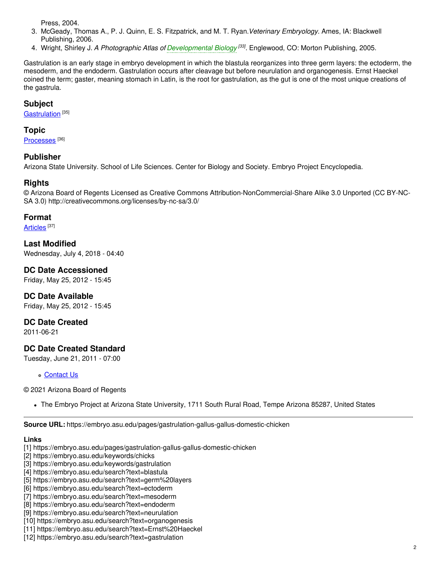Press, 2004.

- 3. McGeady, Thomas A., P. J. Quinn, E. S. Fitzpatrick, and M. T. Ryan.*Veterinary Embryology.* Ames, IA: Blackwell Publishing, 2006.
- 4. Wright, Shirley J. *A Photographic Atlas of [Developmental](https://embryo.asu.edu/search?text=Developmental%20Biology) Biology [33] .* Englewood, CO: Morton Publishing, 2005.

Gastrulation is an early stage in embryo development in which the blastula reorganizes into three germ layers: the ectoderm, the mesoderm, and the endoderm. Gastrulation occurs after cleavage but before neurulation and organogenesis. Ernst Haeckel coined the term; gaster, meaning stomach in Latin, is the root for gastrulation, as the gut is one of the most unique creations of the gastrula.

### **Subject**

[Gastrulation](https://embryo.asu.edu/medical-subject-headings/gastrulation)<sup>[35]</sup>

### **Topic**

[Processes](https://embryo.asu.edu/topics/processes)<sup>[36]</sup>

### **Publisher**

Arizona State University. School of Life Sciences. Center for Biology and Society. Embryo Project Encyclopedia.

# **Rights**

© Arizona Board of Regents Licensed as Creative Commons Attribution-NonCommercial-Share Alike 3.0 Unported (CC BY-NC-SA 3.0) http://creativecommons.org/licenses/by-nc-sa/3.0/

#### **Format**

<u>[Articles](https://embryo.asu.edu/formats/articles)</u> [37]

**Last Modified** Wednesday, July 4, 2018 - 04:40

**DC Date Accessioned** Friday, May 25, 2012 - 15:45

**DC Date Available** Friday, May 25, 2012 - 15:45

**DC Date Created**

2011-06-21

# **DC Date Created Standard**

Tuesday, June 21, 2011 - 07:00

[Contact](https://embryo.asu.edu/contact) Us

© 2021 Arizona Board of Regents

The Embryo Project at Arizona State University, 1711 South Rural Road, Tempe Arizona 85287, United States

**Source URL:** https://embryo.asu.edu/pages/gastrulation-gallus-gallus-domestic-chicken

#### **Links**

- [1] https://embryo.asu.edu/pages/gastrulation-gallus-gallus-domestic-chicken
- [2] https://embryo.asu.edu/keywords/chicks
- [3] https://embryo.asu.edu/keywords/gastrulation
- [4] https://embryo.asu.edu/search?text=blastula
- [5] https://embryo.asu.edu/search?text=germ%20layers
- [6] https://embryo.asu.edu/search?text=ectoderm
- [7] https://embryo.asu.edu/search?text=mesoderm
- [8] https://embryo.asu.edu/search?text=endoderm
- [9] https://embryo.asu.edu/search?text=neurulation
- [10] https://embryo.asu.edu/search?text=organogenesis
- [11] https://embryo.asu.edu/search?text=Ernst%20Haeckel
- [12] https://embryo.asu.edu/search?text=gastrulation